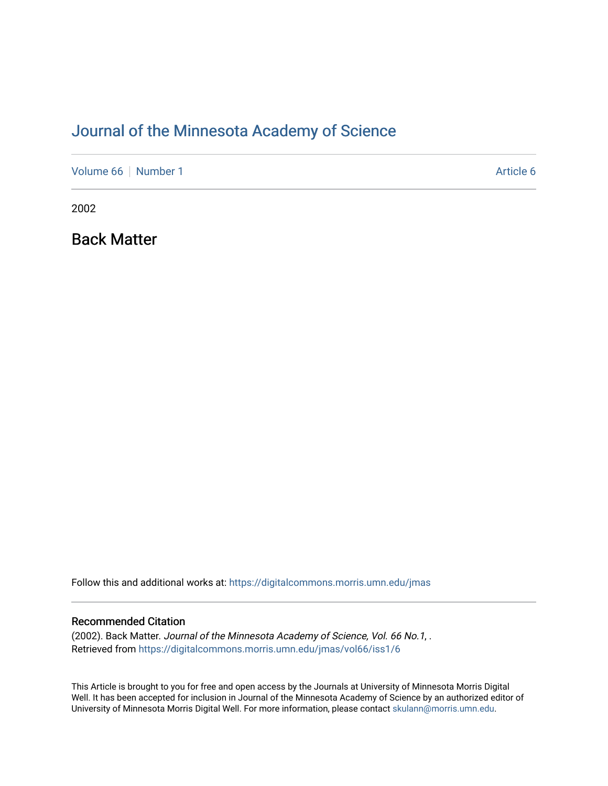# [Journal of the Minnesota Academy of Science](https://digitalcommons.morris.umn.edu/jmas)

[Volume 66](https://digitalcommons.morris.umn.edu/jmas/vol66) [Number 1](https://digitalcommons.morris.umn.edu/jmas/vol66/iss1) Article 6

2002

Back Matter

Follow this and additional works at: [https://digitalcommons.morris.umn.edu/jmas](https://digitalcommons.morris.umn.edu/jmas?utm_source=digitalcommons.morris.umn.edu%2Fjmas%2Fvol66%2Fiss1%2F6&utm_medium=PDF&utm_campaign=PDFCoverPages) 

#### Recommended Citation

(2002). Back Matter. Journal of the Minnesota Academy of Science, Vol. 66 No.1, . Retrieved from [https://digitalcommons.morris.umn.edu/jmas/vol66/iss1/6](https://digitalcommons.morris.umn.edu/jmas/vol66/iss1/6?utm_source=digitalcommons.morris.umn.edu%2Fjmas%2Fvol66%2Fiss1%2F6&utm_medium=PDF&utm_campaign=PDFCoverPages)

This Article is brought to you for free and open access by the Journals at University of Minnesota Morris Digital Well. It has been accepted for inclusion in Journal of the Minnesota Academy of Science by an authorized editor of University of Minnesota Morris Digital Well. For more information, please contact [skulann@morris.umn.edu](mailto:skulann@morris.umn.edu).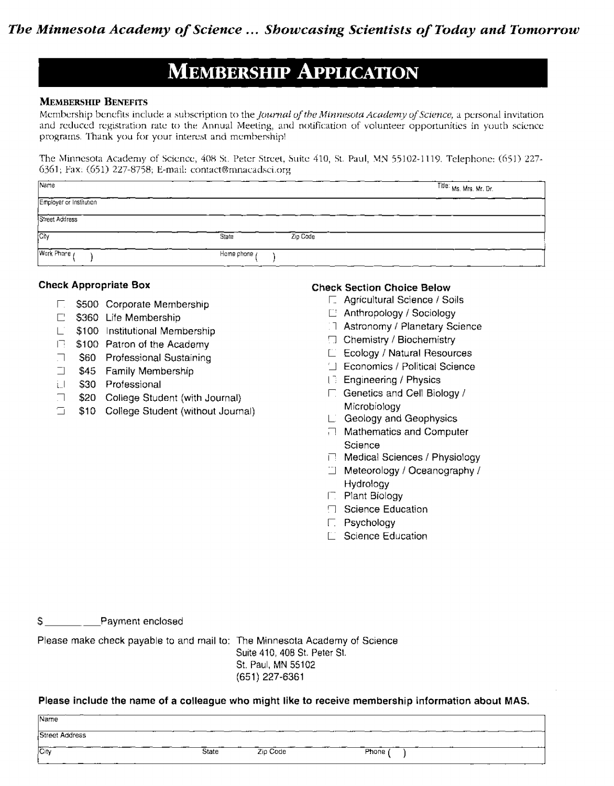# **MEMBERSHIP APPLICATION**

#### **MEMBERSHIP BENEFITS**

Membership benefits include a subscription to the *Journal of the Minnesota Academy of Science*, a personal invitation and reduced registration rate to the Annual Meeting, and notification of volunteer opportunities in youth science programs. Thank you for your interest and membership!

The Minnesota Academy of Science, 408 St. Peter Street, Suite 410, St. Paul, MN 55102-1119, Telephone: (651) 227-6361; Fax: (651) 227-8758; E-mail: contact@mnacadsci.org

| Name                    |                   | Title: Ms. Mrs. Mr. Dr. |
|-------------------------|-------------------|-------------------------|
| Employer or Institution |                   |                         |
| Street Address          |                   |                         |
| Cily                    | Zip Code<br>State |                         |
| Work Phone              | Home phone y      |                         |

#### **Check Appropriate Box**

- $\Box$ \$500 Corporate Membership
- $\Box$  \$360 Life Membership
- $\Box$  \$100 Institutional Membership
- □ \$100 Patron of the Academy
- \$60 Professional Sustaining 口。
- $\Box$ \$45 Family Membership
- i.J \$30 Professional
- $\Box$ \$20 College Student (with Journal)
- $\Box$ \$10 College Student (without Journal)

#### **Check Section Choice Below**

- □ Agricultural Science / Soils
- $\Box$  Anthropology / Sociology
- 17 Astronomy / Planetary Science
- **El** Chemistry / Biochemistry
- $E$  Ecology / Natural Resources
- □ Economics / Political Science
- (3) Engineering / Physics
- □ Genetics and Cell Biology / Microbiology
- L. Geology and Geophysics
- □ Mathematics and Computer Science
- **□ Medical Sciences / Physiology**
- □ Meteorology / Oceanography / Hydrology
- **F.** Plant Biology
- □ Science Education
- $\Gamma$ . Psychology
- E Science Education

Payment enclosed S.

Please make check payable to and mail to: The Minnesota Academy of Science

Suite 410, 408 St. Peter St. St. Paul, MN 55102  $(651)$  227-6361

Please include the name of a colleague who might like to receive membership information about MAS.

| Name<br><b>Street Address</b> |       |          |         |
|-------------------------------|-------|----------|---------|
| City                          | State | Zip Code | Phone ( |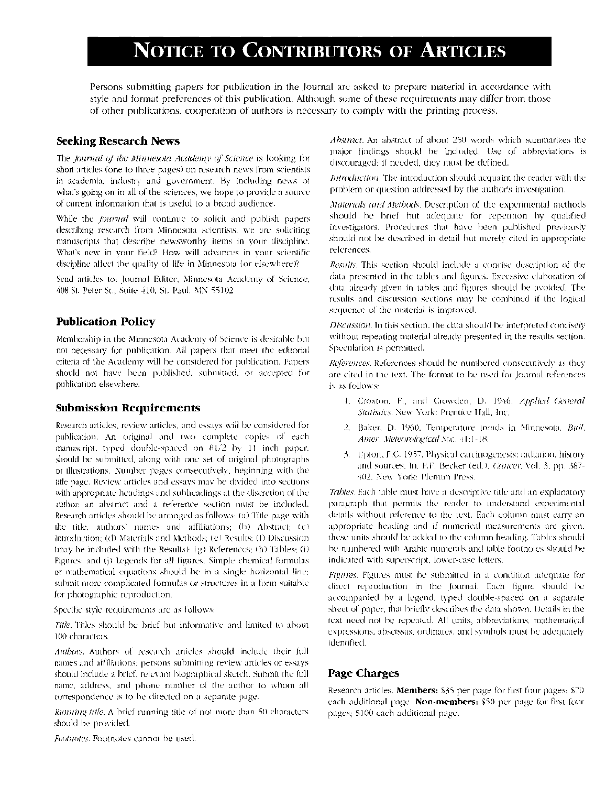# **NOTICE TO CONTRIBUTORS OF ARTICLES**

Persons submitting papers for publication in the Journal are asked to prepare material in accordance with style and format preferences of this publication. Although some of these requirements may differ from those of other publications, cooperation of authors is necessary to comply with the printing process.

#### **Seeking Research News**

The Journal of the Minnesota Academy of Science is looking for short articles (one to three pages) on research news from scientists in academia, industry and government. By including news of what's going on in all of the sciences, we hope to provide a source of current information that is useful to a broad audience.

While the *fournal* will continue to solicit and publish papers describing research from Minnesota scientists, we are soliciting manuscripts that describe newsworthy items in your discipline. What's new in your field? How will advances in your scientific discipline affect the quality of life in Minnesota (or elsewhere)?

Send articles to: Journal Editor, Minnesota Academy of Science, 408 St. Peter St., Suite 410, St. Paul, MN 55102

### **Publication Policy**

Membership in the Minnesota Academy of Science is desirable but not necessary for publication. All papers that meet the editorial criteria of the Academy will be considered for publication. Papers should not have been published, submitted, or accepted for publication elsewhere.

#### **Submission Requirements**

Research articles, review articles, and essays will be considered for publication. An original and two complete copies of each manuscript, typed double-spaced on 81/2 by 11 inch paper, should be submitted, along with one set of original photographs or illustrations. Number pages consecutively, beginning with the title page. Review articles and essays may be divided into sections with appropriate headings and subheadings at the discretion of the author, an abstract and a reference section must be included. Research articles should be arranged as follows: (a) Title page with the title, authors' names and affiliations; (b) Abstract; (c) Introduction: (d) Materials and Methods; (e) Results; (f) Discussion. (may be included with the Results); (g) References; (h) Tables; (i) Figures: and (i) Legends for all figures. Simple chemical formulas or mathematical equations should be in a single horizontal line. submit more complicated formulas or structures in a form suitable for photographic reproduction.

Specific style requirements are as follows:

Title. Titles should be brief but informative and limited to about 100 characters.

Authors. Authors of research articles should include their full names and affiliations; persons submitting review articles or essays should include a brief, relevant biographical sketch. Submit the full name, address, and phone number of the author to whom all correspondence is to be directed on a separate page.

Running title. A brief running title of not more than 50 characters should be provided.

Footnotes. Footnotes cannot be used.

Abstract. An abstract of about 250 words which summarizes the major findings should be included. Use of abbreviations is discouraged; if needed, they must be defined.

Introduction. The introduction should acquaint the reader with the problem or question addressed by the author's investigation.

Materials and Methods. Description of the experimental methods should be brief but adequate for repetition by qualified investigators. Procedures that have been published previously should not be described in detail but merely cited in appropriate references.

Results. This section should include a concise description of the data presented in the tables and figures. Excessive elaboration of data already given in tables and figures should be avoided. The results and discussion sections may be combined if the logical sequence of the material is improved.

Discussion. In this section, the data should be interpreted concisely without repeating material already presented in the results section. Speculation is permitted.

References. References should be numbered consecutively as they are cited in the text. The format to be used for Journal references is as follows:

- 1. Croxton, F., and Crowden, D. 1946. Applied General Statistics. New York: Prentice Hall. Inc.
- 2. Baker, D. 1960, Temperature trends in Minnesota, Bull. Amer. Meteorological Soc. 41:1-18.
- 3. Upton, F.C. 1957, Physical carcinogenesis: radiation, history and sources. In, F.F. Becker (ed.), Cancer, Vol. 3, pp. 387-402. New York: Plenum Press.

Tables. Each table must have a descriptive title and an explanatory paragraph that permits the reader to understand experimental details without reference to the text. Each column must carry an appropriate heading and if numerical measurements are given, these units should be added to the column heading. Tables should be numbered with Arabic numerals and table footnotes should be indicated with superscript, lower-case letters.

Figures. Figures must be submitted in a condition adequate for direct reproduction in the Journal. Each figure should be accompanied by a legend, typed double-spaced on a separate sheet of paper, that briefly describes the data shown. Details in the text need not be repeated. All units, abbreviations, mathematical expressions, abscissas, ordinates, and symbols must be adequately identified.

## **Page Charges**

Research articles. Members: \$35 per page for first four pages: \$70 each additional page. Non-members: \$50 per page for first four pages; \$100 each additional page.